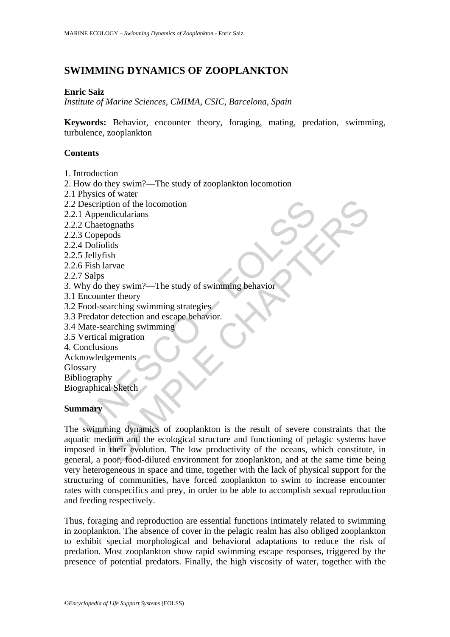# **SWIMMING DYNAMICS OF ZOOPLANKTON**

#### **Enric Saiz**

*Institute of Marine Sciences, CMIMA, CSIC, Barcelona, Spain* 

**Keywords:** Behavior, encounter theory, foraging, mating, predation, swimming, turbulence, zooplankton

### **Contents**

- 1. Introduction
- 2. How do they swim?—The study of zooplankton locomotion
- 2.1 Physics of water
- 2.2 Description of the locomotion
- 2.2.1 Appendicularians
- 2.2.2 Chaetognaths
- 2.2.3 Copepods
- 2.2.4 Doliolids
- 2.2.5 Jellyfish
- 2.2.6 Fish larvae
- 2.2.7 Salps
- 3. Why do they swim?—The study of swimming behavior
- 3.1 Encounter theory
- 3.2 Food-searching swimming strategies
- 3.3 Predator detection and escape behavior.
- 3.4 Mate-searching swimming
- 3.5 Vertical migration
- 4. Conclusions
- Acknowledgements
- Glossary
- Bibliography Biographical Sketch

### **Summary**

Description of the locomotion<br>
1 Appendicularians<br>
2 Chaetognaths<br>
4 Doliolids<br>
4 Doliolids<br>
5 Jellyfish<br>
6 Fish larvae<br>
7 Salps<br>
6 Fish larvae<br>
7 Salps<br>
6 Fish larvae<br>
8 Todous exerciting swimming strategies<br>
Predator det of the locomotion<br>
mdicularians<br>
tognaths<br>
pods<br>
pods<br>
pods<br>
lids<br>
arsh<br>
they swim?—The study of swimming behavior<br>
they they swim?—The study of swimming behavior<br>
arching swimming strategies<br>
or detection and escape behav The swimming dynamics of zooplankton is the result of severe constraints that the aquatic medium and the ecological structure and functioning of pelagic systems have imposed in their evolution. The low productivity of the oceans, which constitute, in general, a poor, food-diluted environment for zooplankton, and at the same time being very heterogeneous in space and time, together with the lack of physical support for the structuring of communities, have forced zooplankton to swim to increase encounter rates with conspecifics and prey, in order to be able to accomplish sexual reproduction and feeding respectively.

Thus, foraging and reproduction are essential functions intimately related to swimming in zooplankton. The absence of cover in the pelagic realm has also obliged zooplankton to exhibit special morphological and behavioral adaptations to reduce the risk of predation. Most zooplankton show rapid swimming escape responses, triggered by the presence of potential predators. Finally, the high viscosity of water, together with the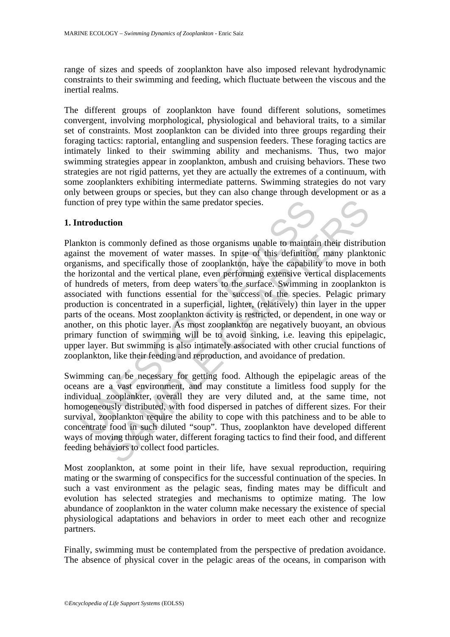range of sizes and speeds of zooplankton have also imposed relevant hydrodynamic constraints to their swimming and feeding, which fluctuate between the viscous and the inertial realms.

The different groups of zooplankton have found different solutions, sometimes convergent, involving morphological, physiological and behavioral traits, to a similar set of constraints. Most zooplankton can be divided into three groups regarding their foraging tactics: raptorial, entangling and suspension feeders. These foraging tactics are intimately linked to their swimming ability and mechanisms. Thus, two major swimming strategies appear in zooplankton, ambush and cruising behaviors. These two strategies are not rigid patterns, yet they are actually the extremes of a continuum, with some zooplankters exhibiting intermediate patterns. Swimming strategies do not vary only between groups or species, but they can also change through development or as a function of prey type within the same predator species.

#### **1. Introduction**

tion of prey type within the same predator species.<br> **Atroduction**<br> **Atroduction**<br> **Atroduction**<br> **Atroduction**<br> **Atter movement of water masses. In spite of this definition**<br> **Insims, and specifically those of zooplankton** From the same predator species.<br> **Commonly defined** as those organisms unable to maintain their distribute movement of water masses. In spite of this definition, many plankt and specifically those of zooplankton, have the Plankton is commonly defined as those organisms unable to maintain their distribution against the movement of water masses. In spite of this definition, many planktonic organisms, and specifically those of zooplankton, have the capability to move in both the horizontal and the vertical plane, even performing extensive vertical displacements of hundreds of meters, from deep waters to the surface. Swimming in zooplankton is associated with functions essential for the success of the species. Pelagic primary production is concentrated in a superficial, lighter, (relatively) thin layer in the upper parts of the oceans. Most zooplankton activity is restricted, or dependent, in one way or another, on this photic layer. As most zooplankton are negatively buoyant, an obvious primary function of swimming will be to avoid sinking, i.e. leaving this epipelagic, upper layer. But swimming is also intimately associated with other crucial functions of zooplankton, like their feeding and reproduction, and avoidance of predation.

Swimming can be necessary for getting food. Although the epipelagic areas of the oceans are a vast environment, and may constitute a limitless food supply for the individual zooplankter, overall they are very diluted and, at the same time, not homogeneously distributed, with food dispersed in patches of different sizes. For their survival, zooplankton require the ability to cope with this patchiness and to be able to concentrate food in such diluted "soup". Thus, zooplankton have developed different ways of moving through water, different foraging tactics to find their food, and different feeding behaviors to collect food particles.

Most zooplankton, at some point in their life, have sexual reproduction, requiring mating or the swarming of conspecifics for the successful continuation of the species. In such a vast environment as the pelagic seas, finding mates may be difficult and evolution has selected strategies and mechanisms to optimize mating. The low abundance of zooplankton in the water column make necessary the existence of special physiological adaptations and behaviors in order to meet each other and recognize partners.

Finally, swimming must be contemplated from the perspective of predation avoidance. The absence of physical cover in the pelagic areas of the oceans, in comparison with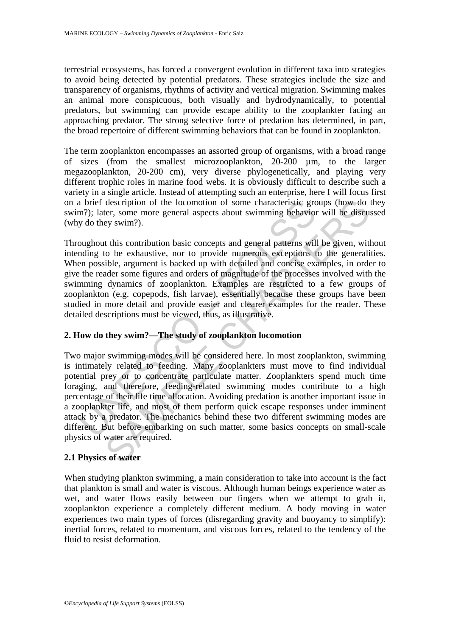terrestrial ecosystems, has forced a convergent evolution in different taxa into strategies to avoid being detected by potential predators. These strategies include the size and transparency of organisms, rhythms of activity and vertical migration. Swimming makes an animal more conspicuous, both visually and hydrodynamically, to potential predators, but swimming can provide escape ability to the zooplankter facing an approaching predator. The strong selective force of predation has determined, in part, the broad repertoire of different swimming behaviors that can be found in zooplankton.

The term zooplankton encompasses an assorted group of organisms, with a broad range of sizes (from the smallest microzooplankton, 20-200 µm, to the larger megazooplankton, 20-200 cm), very diverse phylogenetically, and playing very different trophic roles in marine food webs. It is obviously difficult to describe such a variety in a single article. Instead of attempting such an enterprise, here I will focus first on a brief description of the locomotion of some characteristic groups (how do they swim?); later, some more general aspects about swimming behavior will be discussed (why do they swim?).

Throughout this contribution basic concepts and general patterns will be given, without intending to be exhaustive, nor to provide numerous exceptions to the generalities. When possible, argument is backed up with detailed and concise examples, in order to give the reader some figures and orders of magnitude of the processes involved with the swimming dynamics of zooplankton. Examples are restricted to a few groups of zooplankton (e.g. copepods, fish larvae), essentially because these groups have been studied in more detail and provide easier and clearer examples for the reader. These detailed descriptions must be viewed, thus, as illustrative.

## **2. How do they swim?—The study of zooplankton locomotion**

a brief description of the locomotion of some characteristic grom<br>
2017); later, some more general aspects about swimming behaviory do they swim?).<br>
Dughout this contribution basic concepts and general patterns will<br>
ougho description of the locomotion of some characteristic groups (how do<br>ter, some more general aspects about swimming behavior will be discu<br>ey swim?).<br>Un this contribution basic concepts and general patterns will be given, wi Two major swimming modes will be considered here. In most zooplankton, swimming is intimately related to feeding. Many zooplankters must move to find individual potential prey or to concentrate particulate matter. Zooplankters spend much time foraging, and therefore, feeding-related swimming modes contribute to a high percentage of their life time allocation. Avoiding predation is another important issue in a zooplankter life, and most of them perform quick escape responses under imminent attack by a predator. The mechanics behind these two different swimming modes are different. But before embarking on such matter, some basics concepts on small-scale physics of water are required.

### **2.1 Physics of water**

When studying plankton swimming, a main consideration to take into account is the fact that plankton is small and water is viscous. Although human beings experience water as wet, and water flows easily between our fingers when we attempt to grab it, zooplankton experience a completely different medium. A body moving in water experiences two main types of forces (disregarding gravity and buoyancy to simplify): inertial forces, related to momentum, and viscous forces, related to the tendency of the fluid to resist deformation.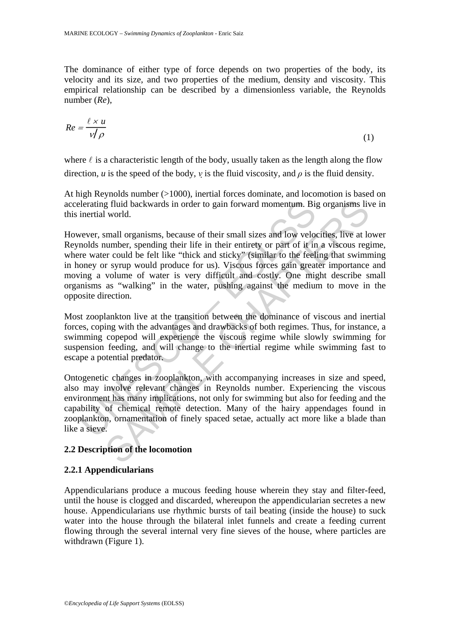The dominance of either type of force depends on two properties of the body, its velocity and its size, and two properties of the medium, density and viscosity. This empirical relationship can be described by a dimensionless variable, the Reynolds number (*Re*),

$$
Re = \frac{\ell \times u}{\nu / \rho} \tag{1}
$$

where  $\ell$  is a characteristic length of the body, usually taken as the length along the flow direction, *u* is the speed of the body, *v* is the fluid viscosity, and  $\rho$  is the fluid density.

At high Reynolds number (>1000), inertial forces dominate, and locomotion is based on accelerating fluid backwards in order to gain forward momentum. Big organisms live in this inertial world.

elerating fluid backwards in order to gain forward momentum. Bij<br>inertial world.<br>wever, small organisms, because of their small sizes and low velous<br>molds number, spending their life in their entirety or part of it in<br>re w is divid backwards in order to gain forward momentum. Big organisms liv world.<br>Simall organisms, because of their small sizes and low velocities, live at laumber, spending their life in their entirety or part of it in a vi However, small organisms, because of their small sizes and low velocities, live at lower Reynolds number, spending their life in their entirety or part of it in a viscous regime, where water could be felt like "thick and sticky" (similar to the feeling that swimming in honey or syrup would produce for us). Viscous forces gain greater importance and moving a volume of water is very difficult and costly. One might describe small organisms as "walking" in the water, pushing against the medium to move in the opposite direction.

Most zooplankton live at the transition between the dominance of viscous and inertial forces, coping with the advantages and drawbacks of both regimes. Thus, for instance, a swimming copepod will experience the viscous regime while slowly swimming for suspension feeding, and will change to the inertial regime while swimming fast to escape a potential predator.

Ontogenetic changes in zooplankton, with accompanying increases in size and speed, also may involve relevant changes in Reynolds number. Experiencing the viscous environment has many implications, not only for swimming but also for feeding and the capability of chemical remote detection. Many of the hairy appendages found in zooplankton, ornamentation of finely spaced setae, actually act more like a blade than like a sieve.

### **2.2 Description of the locomotion**

### **2.2.1 Appendicularians**

Appendicularians produce a mucous feeding house wherein they stay and filter-feed, until the house is clogged and discarded, whereupon the appendicularian secretes a new house. Appendicularians use rhythmic bursts of tail beating (inside the house) to suck water into the house through the bilateral inlet funnels and create a feeding current flowing through the several internal very fine sieves of the house, where particles are withdrawn (Figure 1).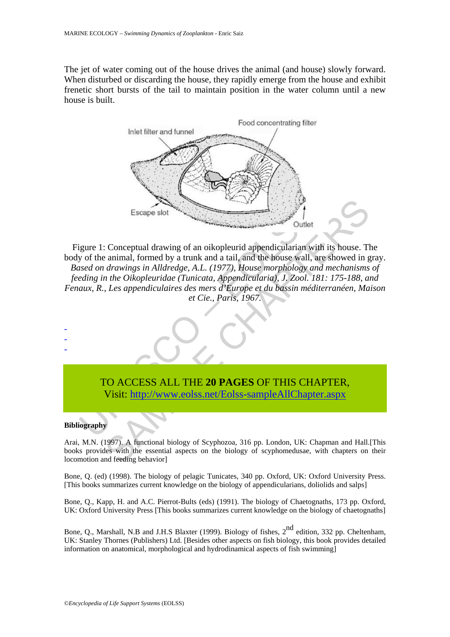The jet of water coming out of the house drives the animal (and house) slowly forward. When disturbed or discarding the house, they rapidly emerge from the house and exhibit frenetic short bursts of the tail to maintain position in the water column until a new house is built.



Escape slot<br>
Escape slot<br>
United<br>
Surface and distribution of an oikopleurid appendicularian with<br>
united and the context of an oikopleuridae (Tunicata, Appendicularia), J. Zool. To<br>
Latter, R., Les appendiculaires des mer Escape slot<br>
Sample Conceptual drawing of an oikopleurid appendicularian with its house. The animal, formed by a trunk and a tail, and the house wall, are showed in *g drawings in Alldredge, A.L.* (1977), House morphology Figure 1: Conceptual drawing of an oikopleurid appendicularian with its house. The body of the animal, formed by a trunk and a tail, and the house wall, are showed in gray. *Based on drawings in Alldredge, A.L. (1977), House morphology and mechanisms of feeding in the Oikopleuridae (Tunicata, Appendicularia), J. Zool. 181: 175-188, and Fenaux, R., Les appendiculaires des mers d'Europe et du bassin méditerranéen, Maison et Cie., Paris, 1967.* 



#### **Bibliography**

- - -

Arai, M.N. (1997). A functional biology of Scyphozoa, 316 pp. London, UK: Chapman and Hall.[This books provides with the essential aspects on the biology of scyphomedusae, with chapters on their locomotion and feeding behavior]

Bone, Q. (ed) (1998). The biology of pelagic Tunicates, 340 pp. Oxford, UK: Oxford University Press. [This books summarizes current knowledge on the biology of appendicularians, doliolids and salps]

Bone, Q., Kapp, H. and A.C. Pierrot-Bults (eds) (1991). The biology of Chaetognaths, 173 pp. Oxford, UK: Oxford University Press [This books summarizes current knowledge on the biology of chaetognaths]

Bone, Q., Marshall, N.B and J.H.S Blaxter (1999). Biology of fishes,  $2^{nd}$  edition, 332 pp. Cheltenham, UK: Stanley Thornes (Publishers) Ltd. [Besides other aspects on fish biology, this book provides detailed information on anatomical, morphological and hydrodinamical aspects of fish swimming]